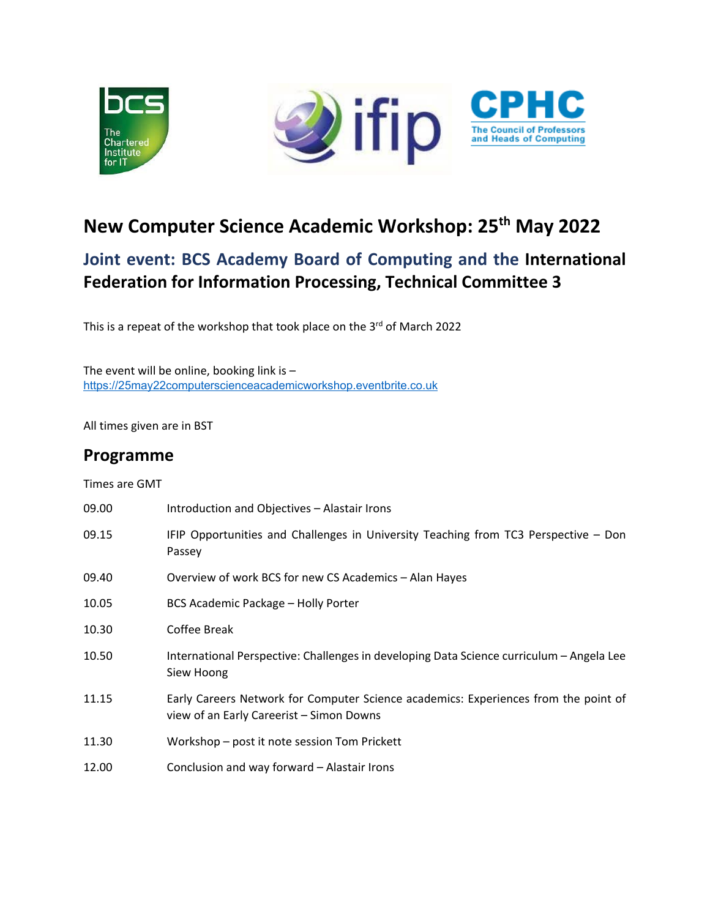

# **New Computer Science Academic Workshop: 25th May 2022**

# **Joint event: BCS Academy Board of Computing and the International Federation for Information Processing, Technical Committee 3**

This is a repeat of the workshop that took place on the 3rd of March 2022

The event will be online, booking link is  $$ [https://25may22computerscienceacademicworkshop.eventbrite.co.uk](https://eur03.safelinks.protection.outlook.com/?url=https%3A%2F%2F25may22computerscienceacademicworkshop.eventbrite.co.uk%2F&data=05%7C01%7C%7C3abb221eb6824e67ef3f08da28f2dffe%7C16a0d960ee744f56a22a19ae057918b2%7C0%7C0%7C637867320849639146%7CUnknown%7CTWFpbGZsb3d8eyJWIjoiMC4wLjAwMDAiLCJQIjoiV2luMzIiLCJBTiI6Ik1haWwiLCJXVCI6Mn0%3D%7C3000%7C%7C%7C&sdata=xUQVdf%2FLd9IW%2BXHVVPkzlIoD79MpYbgwnHY2nMXHNRk%3D&reserved=0)

All times given are in BST

### **Programme**

Times are GMT

| 09.00 | Introduction and Objectives - Alastair Irons                                                                                    |
|-------|---------------------------------------------------------------------------------------------------------------------------------|
| 09.15 | IFIP Opportunities and Challenges in University Teaching from TC3 Perspective - Don<br>Passey                                   |
| 09.40 | Overview of work BCS for new CS Academics - Alan Hayes                                                                          |
| 10.05 | <b>BCS Academic Package - Holly Porter</b>                                                                                      |
| 10.30 | Coffee Break                                                                                                                    |
| 10.50 | International Perspective: Challenges in developing Data Science curriculum - Angela Lee<br>Siew Hoong                          |
| 11.15 | Early Careers Network for Computer Science academics: Experiences from the point of<br>view of an Early Careerist - Simon Downs |
| 11.30 | Workshop – post it note session Tom Prickett                                                                                    |
| 12.00 | Conclusion and way forward – Alastair Irons                                                                                     |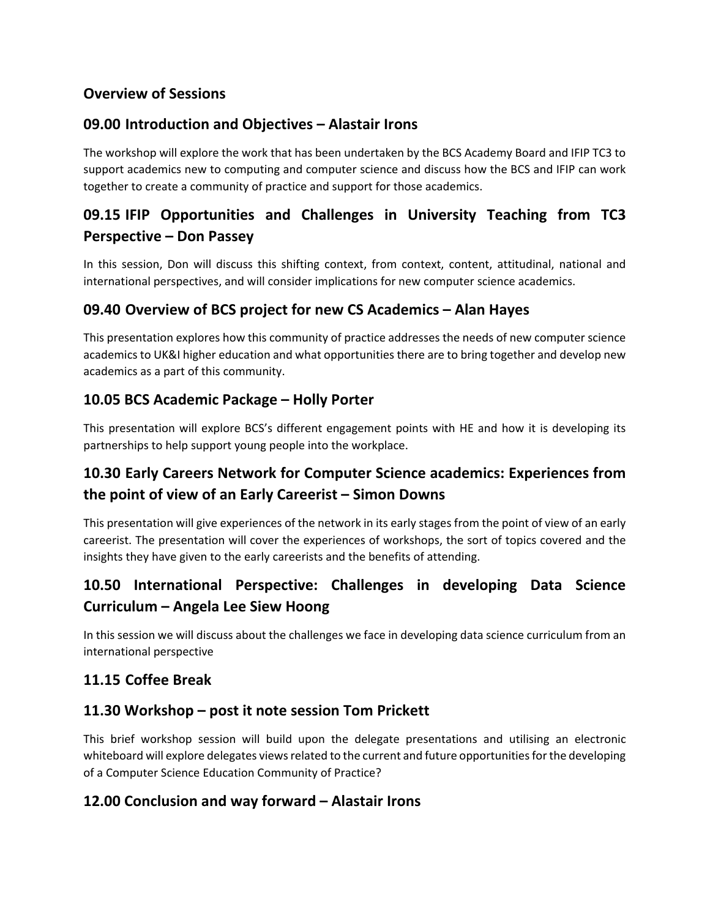### **Overview of Sessions**

### **09.00 Introduction and Objectives – Alastair Irons**

The workshop will explore the work that has been undertaken by the BCS Academy Board and IFIP TC3 to support academics new to computing and computer science and discuss how the BCS and IFIP can work together to create a community of practice and support for those academics.

# **09.15 IFIP Opportunities and Challenges in University Teaching from TC3 Perspective – Don Passey**

In this session, Don will discuss this shifting context, from context, content, attitudinal, national and international perspectives, and will consider implications for new computer science academics.

#### **09.40 Overview of BCS project for new CS Academics – Alan Hayes**

This presentation explores how this community of practice addresses the needs of new computer science academics to UK&I higher education and what opportunities there are to bring together and develop new academics as a part of this community.

### **10.05 BCS Academic Package – Holly Porter**

This presentation will explore BCS's different engagement points with HE and how it is developing its partnerships to help support young people into the workplace.

## **10.30 Early Careers Network for Computer Science academics: Experiences from the point of view of an Early Careerist – Simon Downs**

This presentation will give experiences of the network in its early stages from the point of view of an early careerist. The presentation will cover the experiences of workshops, the sort of topics covered and the insights they have given to the early careerists and the benefits of attending.

# **10.50 International Perspective: Challenges in developing Data Science Curriculum – Angela Lee Siew Hoong**

In this session we will discuss about the challenges we face in developing data science curriculum from an international perspective

#### **11.15 Coffee Break**

#### **11.30 Workshop – post it note session Tom Prickett**

This brief workshop session will build upon the delegate presentations and utilising an electronic whiteboard will explore delegates views related to the current and future opportunities for the developing of a Computer Science Education Community of Practice?

#### **12.00 Conclusion and way forward – Alastair Irons**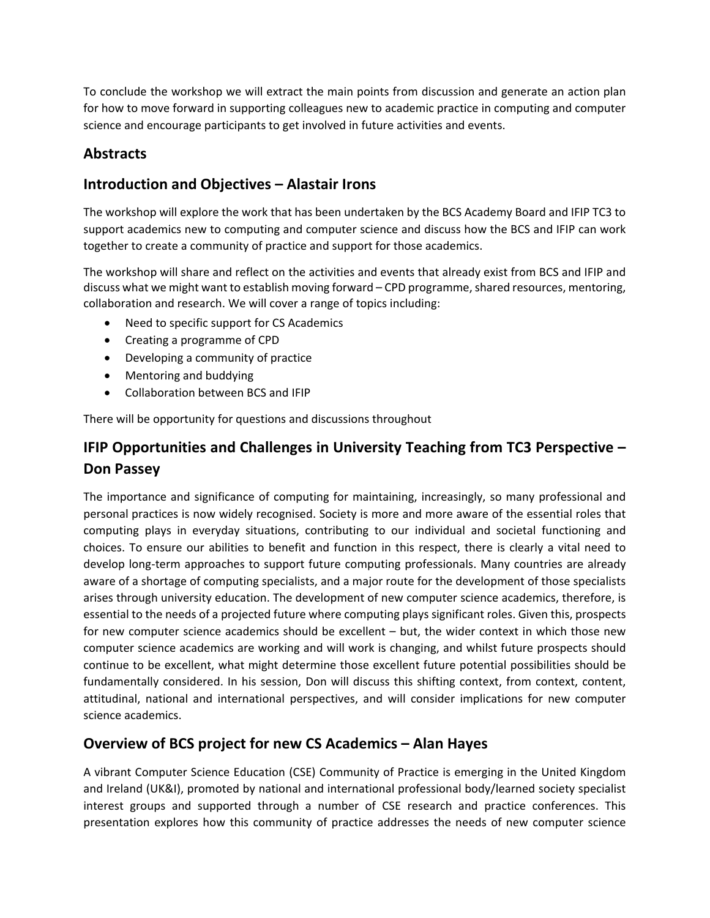To conclude the workshop we will extract the main points from discussion and generate an action plan for how to move forward in supporting colleagues new to academic practice in computing and computer science and encourage participants to get involved in future activities and events.

### **Abstracts**

### **Introduction and Objectives – Alastair Irons**

The workshop will explore the work that has been undertaken by the BCS Academy Board and IFIP TC3 to support academics new to computing and computer science and discuss how the BCS and IFIP can work together to create a community of practice and support for those academics.

The workshop will share and reflect on the activities and events that already exist from BCS and IFIP and discuss what we might want to establish moving forward – CPD programme, shared resources, mentoring, collaboration and research. We will cover a range of topics including:

- Need to specific support for CS Academics
- Creating a programme of CPD
- Developing a community of practice
- Mentoring and buddying
- Collaboration between BCS and IFIP

There will be opportunity for questions and discussions throughout

# **IFIP Opportunities and Challenges in University Teaching from TC3 Perspective – Don Passey**

The importance and significance of computing for maintaining, increasingly, so many professional and personal practices is now widely recognised. Society is more and more aware of the essential roles that computing plays in everyday situations, contributing to our individual and societal functioning and choices. To ensure our abilities to benefit and function in this respect, there is clearly a vital need to develop long-term approaches to support future computing professionals. Many countries are already aware of a shortage of computing specialists, and a major route for the development of those specialists arises through university education. The development of new computer science academics, therefore, is essential to the needs of a projected future where computing plays significant roles. Given this, prospects for new computer science academics should be excellent – but, the wider context in which those new computer science academics are working and will work is changing, and whilst future prospects should continue to be excellent, what might determine those excellent future potential possibilities should be fundamentally considered. In his session, Don will discuss this shifting context, from context, content, attitudinal, national and international perspectives, and will consider implications for new computer science academics.

### **Overview of BCS project for new CS Academics – Alan Hayes**

A vibrant Computer Science Education (CSE) Community of Practice is emerging in the United Kingdom and Ireland (UK&I), promoted by national and international professional body/learned society specialist interest groups and supported through a number of CSE research and practice conferences. This presentation explores how this community of practice addresses the needs of new computer science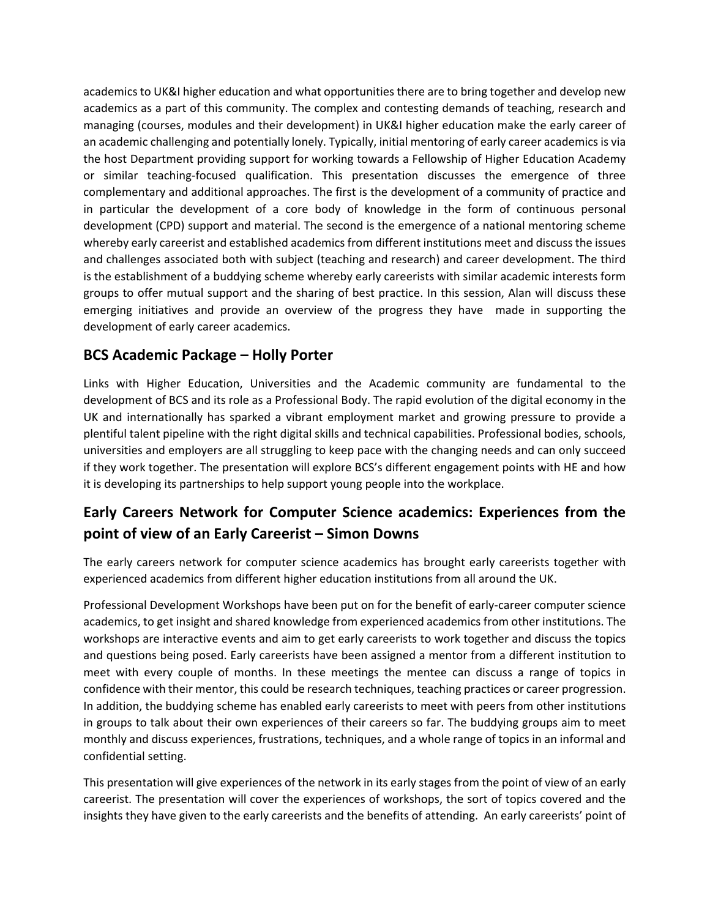academics to UK&I higher education and what opportunities there are to bring together and develop new academics as a part of this community. The complex and contesting demands of teaching, research and managing (courses, modules and their development) in UK&I higher education make the early career of an academic challenging and potentially lonely. Typically, initial mentoring of early career academics is via the host Department providing support for working towards a Fellowship of Higher Education Academy or similar teaching-focused qualification. This presentation discusses the emergence of three complementary and additional approaches. The first is the development of a community of practice and in particular the development of a core body of knowledge in the form of continuous personal development (CPD) support and material. The second is the emergence of a national mentoring scheme whereby early careerist and established academics from different institutions meet and discuss the issues and challenges associated both with subject (teaching and research) and career development. The third is the establishment of a buddying scheme whereby early careerists with similar academic interests form groups to offer mutual support and the sharing of best practice. In this session, Alan will discuss these emerging initiatives and provide an overview of the progress they have made in supporting the development of early career academics.

### **BCS Academic Package – Holly Porter**

Links with Higher Education, Universities and the Academic community are fundamental to the development of BCS and its role as a Professional Body. The rapid evolution of the digital economy in the UK and internationally has sparked a vibrant employment market and growing pressure to provide a plentiful talent pipeline with the right digital skills and technical capabilities. Professional bodies, schools, universities and employers are all struggling to keep pace with the changing needs and can only succeed if they work together. The presentation will explore BCS's different engagement points with HE and how it is developing its partnerships to help support young people into the workplace.

# **Early Careers Network for Computer Science academics: Experiences from the point of view of an Early Careerist – Simon Downs**

The early careers network for computer science academics has brought early careerists together with experienced academics from different higher education institutions from all around the UK.

Professional Development Workshops have been put on for the benefit of early-career computer science academics, to get insight and shared knowledge from experienced academics from other institutions. The workshops are interactive events and aim to get early careerists to work together and discuss the topics and questions being posed. Early careerists have been assigned a mentor from a different institution to meet with every couple of months. In these meetings the mentee can discuss a range of topics in confidence with their mentor, this could be research techniques, teaching practices or career progression. In addition, the buddying scheme has enabled early careerists to meet with peers from other institutions in groups to talk about their own experiences of their careers so far. The buddying groups aim to meet monthly and discuss experiences, frustrations, techniques, and a whole range of topics in an informal and confidential setting.

This presentation will give experiences of the network in its early stages from the point of view of an early careerist. The presentation will cover the experiences of workshops, the sort of topics covered and the insights they have given to the early careerists and the benefits of attending. An early careerists' point of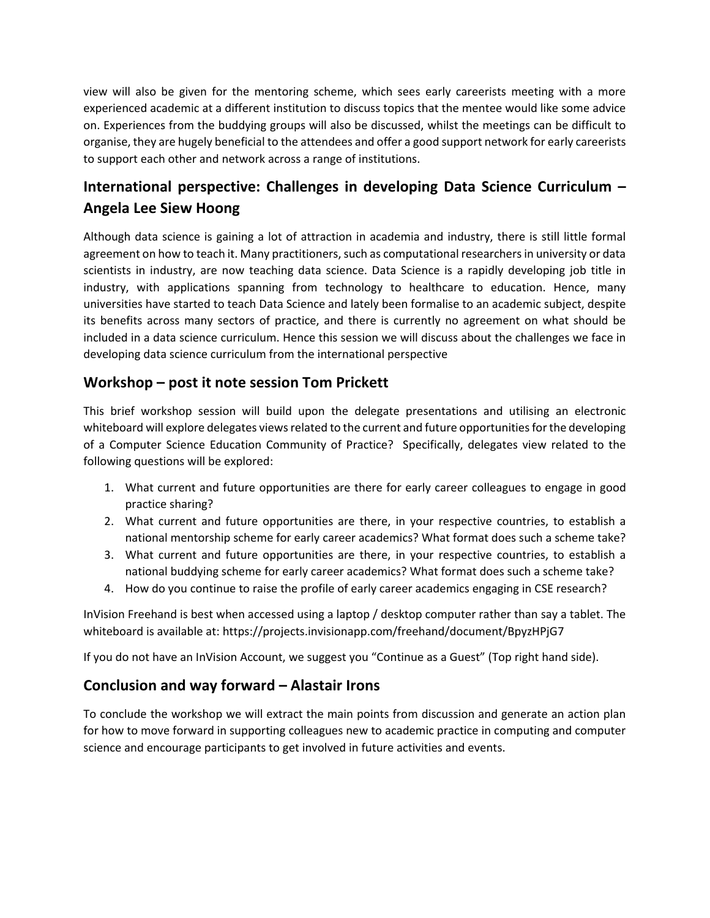view will also be given for the mentoring scheme, which sees early careerists meeting with a more experienced academic at a different institution to discuss topics that the mentee would like some advice on. Experiences from the buddying groups will also be discussed, whilst the meetings can be difficult to organise, they are hugely beneficial to the attendees and offer a good support network for early careerists to support each other and network across a range of institutions.

# **International perspective: Challenges in developing Data Science Curriculum – Angela Lee Siew Hoong**

Although data science is gaining a lot of attraction in academia and industry, there is still little formal agreement on how to teach it. Many practitioners, such as computational researchers in university or data scientists in industry, are now teaching data science. Data Science is a rapidly developing job title in industry, with applications spanning from technology to healthcare to education. Hence, many universities have started to teach Data Science and lately been formalise to an academic subject, despite its benefits across many sectors of practice, and there is currently no agreement on what should be included in a data science curriculum. Hence this session we will discuss about the challenges we face in developing data science curriculum from the international perspective

### **Workshop – post it note session Tom Prickett**

This brief workshop session will build upon the delegate presentations and utilising an electronic whiteboard will explore delegates views related to the current and future opportunities for the developing of a Computer Science Education Community of Practice? Specifically, delegates view related to the following questions will be explored:

- 1. What current and future opportunities are there for early career colleagues to engage in good practice sharing?
- 2. What current and future opportunities are there, in your respective countries, to establish a national mentorship scheme for early career academics? What format does such a scheme take?
- 3. What current and future opportunities are there, in your respective countries, to establish a national buddying scheme for early career academics? What format does such a scheme take?
- 4. How do you continue to raise the profile of early career academics engaging in CSE research?

InVision Freehand is best when accessed using a laptop / desktop computer rather than say a tablet. The whiteboard is available at: https://projects.invisionapp.com/freehand/document/BpyzHPjG7

If you do not have an InVision Account, we suggest you "Continue as a Guest" (Top right hand side).

#### **Conclusion and way forward – Alastair Irons**

To conclude the workshop we will extract the main points from discussion and generate an action plan for how to move forward in supporting colleagues new to academic practice in computing and computer science and encourage participants to get involved in future activities and events.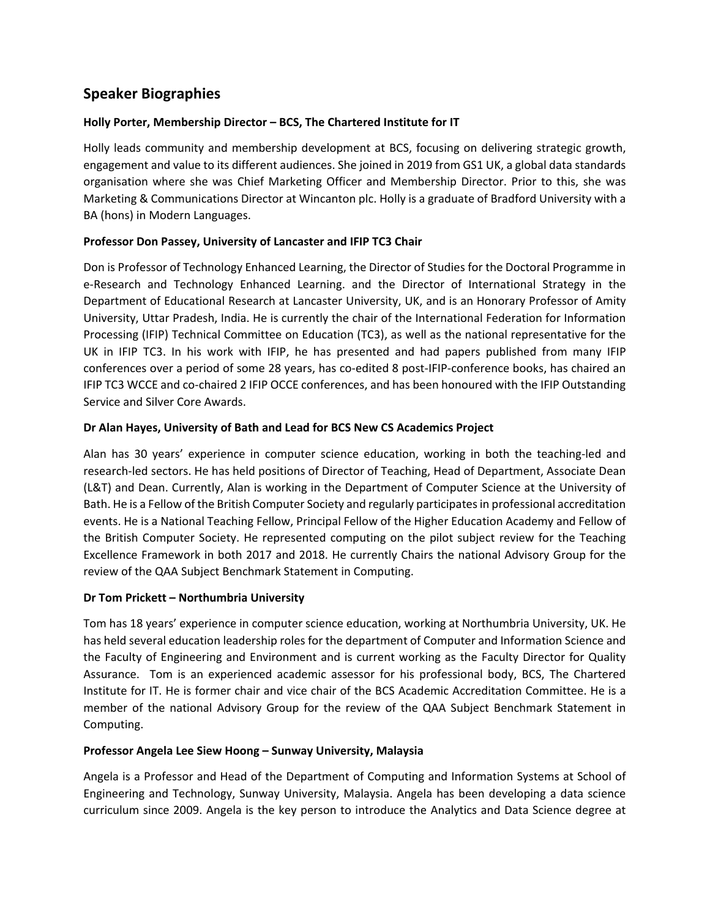### **Speaker Biographies**

#### **Holly Porter, Membership Director – BCS, The Chartered Institute for IT**

Holly leads community and membership development at BCS, focusing on delivering strategic growth, engagement and value to its different audiences. She joined in 2019 from GS1 UK, a global data standards organisation where she was Chief Marketing Officer and Membership Director. Prior to this, she was Marketing & Communications Director at Wincanton plc. Holly is a graduate of Bradford University with a BA (hons) in Modern Languages.

#### **Professor Don Passey, University of Lancaster and IFIP TC3 Chair**

Don is Professor of Technology Enhanced Learning, the Director of Studies for the Doctoral Programme in e-Research and Technology Enhanced Learning. and the Director of International Strategy in the Department of Educational Research at Lancaster University, UK, and is an Honorary Professor of Amity University, Uttar Pradesh, India. He is currently the chair of the International Federation for Information Processing (IFIP) Technical Committee on Education (TC3), as well as the national representative for the UK in IFIP TC3. In his work with IFIP, he has presented and had papers published from many IFIP conferences over a period of some 28 years, has co-edited 8 post-IFIP-conference books, has chaired an IFIP TC3 WCCE and co-chaired 2 IFIP OCCE conferences, and has been honoured with the IFIP Outstanding Service and Silver Core Awards.

#### **Dr Alan Hayes, University of Bath and Lead for BCS New CS Academics Project**

Alan has 30 years' experience in computer science education, working in both the teaching-led and research-led sectors. He has held positions of Director of Teaching, Head of Department, Associate Dean (L&T) and Dean. Currently, Alan is working in the Department of Computer Science at the University of Bath. He is a Fellow of the British Computer Society and regularly participates in professional accreditation events. He is a National Teaching Fellow, Principal Fellow of the Higher Education Academy and Fellow of the British Computer Society. He represented computing on the pilot subject review for the Teaching Excellence Framework in both 2017 and 2018. He currently Chairs the national Advisory Group for the review of the QAA Subject Benchmark Statement in Computing.

#### **Dr Tom Prickett – Northumbria University**

Tom has 18 years' experience in computer science education, working at Northumbria University, UK. He has held several education leadership roles for the department of Computer and Information Science and the Faculty of Engineering and Environment and is current working as the Faculty Director for Quality Assurance. Tom is an experienced academic assessor for his professional body, BCS, The Chartered Institute for IT. He is former chair and vice chair of the BCS Academic Accreditation Committee. He is a member of the national Advisory Group for the review of the QAA Subject Benchmark Statement in Computing.

#### **Professor Angela Lee Siew Hoong – Sunway University, Malaysia**

Angela is a Professor and Head of the Department of Computing and Information Systems at School of Engineering and Technology, Sunway University, Malaysia. Angela has been developing a data science curriculum since 2009. Angela is the key person to introduce the Analytics and Data Science degree at